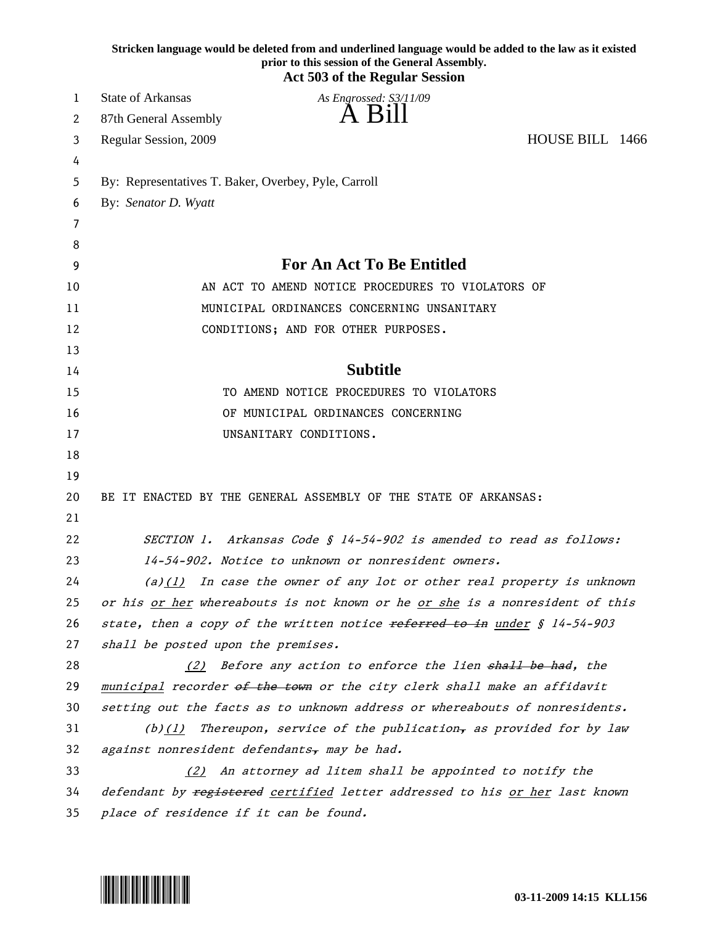|    | Stricken language would be deleted from and underlined language would be added to the law as it existed<br>prior to this session of the General Assembly.<br><b>Act 503 of the Regular Session</b> |
|----|----------------------------------------------------------------------------------------------------------------------------------------------------------------------------------------------------|
| 1  | <b>State of Arkansas</b><br>As Engrossed: S3/11/09                                                                                                                                                 |
| 2  | A Bill<br>87th General Assembly                                                                                                                                                                    |
| 3  | HOUSE BILL 1466<br>Regular Session, 2009                                                                                                                                                           |
| 4  |                                                                                                                                                                                                    |
| 5  | By: Representatives T. Baker, Overbey, Pyle, Carroll                                                                                                                                               |
| 6  | By: Senator D. Wyatt                                                                                                                                                                               |
| 7  |                                                                                                                                                                                                    |
| 8  |                                                                                                                                                                                                    |
| 9  | <b>For An Act To Be Entitled</b>                                                                                                                                                                   |
| 10 | AN ACT TO AMEND NOTICE PROCEDURES TO VIOLATORS OF                                                                                                                                                  |
| 11 | MUNICIPAL ORDINANCES CONCERNING UNSANITARY                                                                                                                                                         |
| 12 | CONDITIONS; AND FOR OTHER PURPOSES.                                                                                                                                                                |
| 13 |                                                                                                                                                                                                    |
| 14 | <b>Subtitle</b>                                                                                                                                                                                    |
| 15 | TO AMEND NOTICE PROCEDURES TO VIOLATORS                                                                                                                                                            |
| 16 | OF MUNICIPAL ORDINANCES CONCERNING                                                                                                                                                                 |
| 17 | UNSANITARY CONDITIONS.                                                                                                                                                                             |
| 18 |                                                                                                                                                                                                    |
| 19 |                                                                                                                                                                                                    |
| 20 | BE IT ENACTED BY THE GENERAL ASSEMBLY OF THE STATE OF ARKANSAS:                                                                                                                                    |
| 21 |                                                                                                                                                                                                    |
| 22 | SECTION 1. Arkansas Code § 14-54-902 is amended to read as follows:                                                                                                                                |
| 23 | 14-54-902. Notice to unknown or nonresident owners.                                                                                                                                                |
| 24 | (a) $(1)$ In case the owner of any lot or other real property is unknown                                                                                                                           |
| 25 | or his or her whereabouts is not known or he or she is a nonresident of this                                                                                                                       |
| 26 | state, then a copy of the written notice referred to in under § 14-54-903                                                                                                                          |
| 27 | shall be posted upon the premises.                                                                                                                                                                 |
| 28 | (2) Before any action to enforce the lien shall be had, the                                                                                                                                        |
| 29 | municipal recorder of the town or the city clerk shall make an affidavit                                                                                                                           |
| 30 | setting out the facts as to unknown address or whereabouts of nonresidents.                                                                                                                        |
| 31 | (b) $(1)$ Thereupon, service of the publication, as provided for by law                                                                                                                            |
| 32 | against nonresident defendants, may be had.                                                                                                                                                        |
| 33 | An attorney ad litem shall be appointed to notify the<br>(2)                                                                                                                                       |
| 34 | defendant by registered certified letter addressed to his or her last known                                                                                                                        |
| 35 | place of residence if it can be found.                                                                                                                                                             |